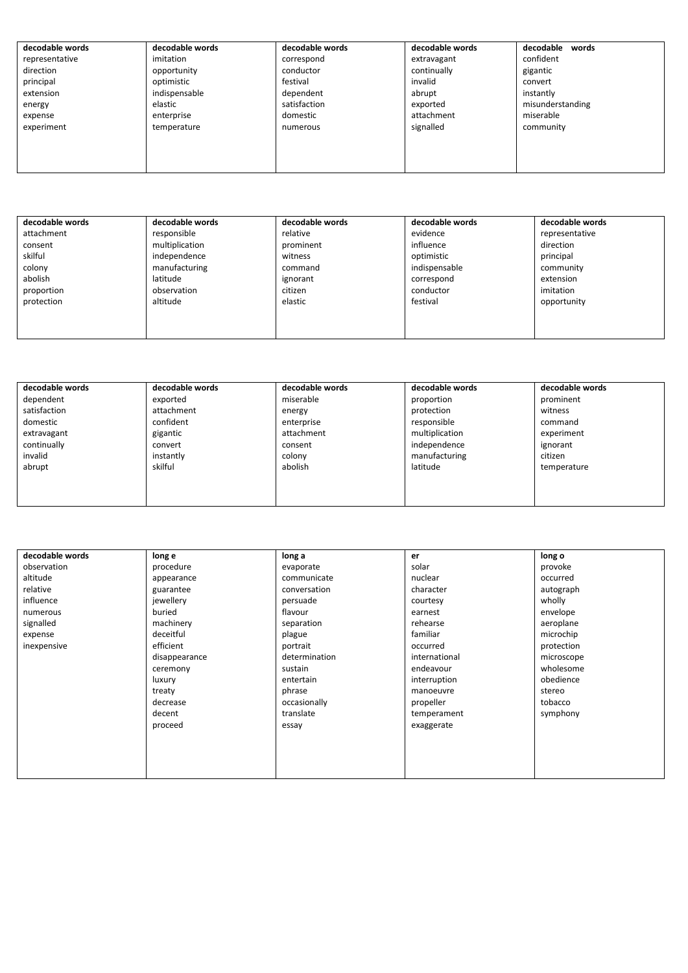| decodable words | decodable words | decodable words | decodable words | decodable<br>words |
|-----------------|-----------------|-----------------|-----------------|--------------------|
| representative  | imitation       | correspond      | extravagant     | confident          |
| direction       | opportunity     | conductor       | continually     | gigantic           |
| principal       | optimistic      | festival        | invalid         | convert            |
| extension       | indispensable   | dependent       | abrupt          | instantly          |
| energy          | elastic         | satisfaction    | exported        | misunderstanding   |
| expense         | enterprise      | domestic        | attachment      | miserable          |
| experiment      | temperature     | numerous        | signalled       | community          |
|                 |                 |                 |                 |                    |
|                 |                 |                 |                 |                    |
|                 |                 |                 |                 |                    |

| decodable words | decodable words | decodable words | decodable words | decodable words |
|-----------------|-----------------|-----------------|-----------------|-----------------|
| attachment      | responsible     | relative        | evidence        | representative  |
| consent         | multiplication  | prominent       | influence       | direction       |
| skilful         | independence    | witness         | optimistic      | principal       |
| colony          | manufacturing   | command         | indispensable   | community       |
| abolish         | latitude        | ignorant        | correspond      | extension       |
| proportion      | observation     | citizen         | conductor       | imitation       |
| protection      | altitude        | elastic         | festival        | opportunity     |
|                 |                 |                 |                 |                 |
|                 |                 |                 |                 |                 |
|                 |                 |                 |                 |                 |

| decodable words | decodable words | decodable words | decodable words | decodable words |
|-----------------|-----------------|-----------------|-----------------|-----------------|
| dependent       | exported        | miserable       | proportion      | prominent       |
| satisfaction    | attachment      | energy          | protection      | witness         |
| domestic        | confident       | enterprise      | responsible     | command         |
| extravagant     | gigantic        | attachment      | multiplication  | experiment      |
| continually     | convert         | consent         | independence    | ignorant        |
| invalid         | instantly       | colony          | manufacturing   | citizen         |
| abrupt          | skilful         | abolish         | latitude        | temperature     |
|                 |                 |                 |                 |                 |
|                 |                 |                 |                 |                 |
|                 |                 |                 |                 |                 |

| decodable words | long e        | long a        | er            | long o     |
|-----------------|---------------|---------------|---------------|------------|
| observation     | procedure     | evaporate     | solar         | provoke    |
| altitude        | appearance    | communicate   | nuclear       | occurred   |
| relative        | guarantee     | conversation  | character     | autograph  |
| influence       | jewellery     | persuade      | courtesy      | wholly     |
| numerous        | buried        | flavour       | earnest       | envelope   |
| signalled       | machinery     | separation    | rehearse      | aeroplane  |
| expense         | deceitful     | plague        | familiar      | microchip  |
| inexpensive     | efficient     | portrait      | occurred      | protection |
|                 | disappearance | determination | international | microscope |
|                 | ceremony      | sustain       | endeavour     | wholesome  |
|                 | luxury        | entertain     | interruption  | obedience  |
|                 | treaty        | phrase        | manoeuvre     | stereo     |
|                 | decrease      | occasionally  | propeller     | tobacco    |
|                 | decent        | translate     | temperament   | symphony   |
|                 | proceed       | essay         | exaggerate    |            |
|                 |               |               |               |            |
|                 |               |               |               |            |
|                 |               |               |               |            |
|                 |               |               |               |            |